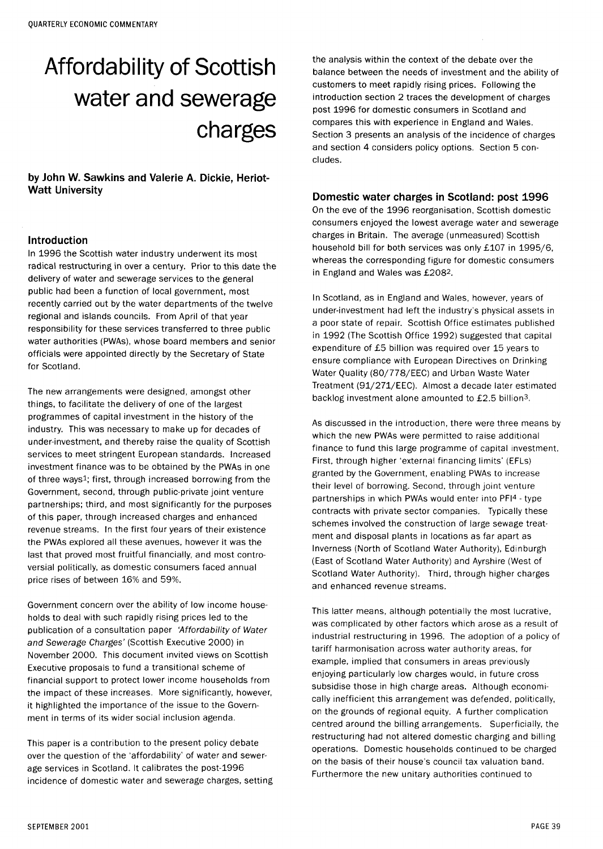# Affordability of Scottish water and sewerage charges

by John W. Sawkins and Valerie A. Dickie, Heriot-Watt University

#### Introduction

In 1996 the Scottish water industry underwent its most radical restructuring in over a century. Prior to this date the delivery of water and sewerage services to the general public had been a function of local government, most recently carried out by the water departments of the twelve regional and islands councils. From April of that year responsibility for these services transferred to three public water authorities (PWAs), whose board members and senior officials were appointed directly by the Secretary of State for Scotland.

The new arrangements were designed, amongst other things, to facilitate the delivery of one of the largest programmes of capital investment in the history of the industry. This was necessary to make up for decades of under-investment, and thereby raise the quality of Scottish services to meet stringent European standards. Increased investment finance was to be obtained by the PWAs in one of three ways<sup>1</sup>; first, through increased borrowing from the Government, second, through public-private joint venture partnerships; third, and most significantly for the purposes of this paper, through increased charges and enhanced revenue streams. In the first four years of their existence the PWAs explored all these avenues, however it was the last that proved most fruitful financially, and most controversial politically, as domestic consumers faced annual price rises of between 16% and 59%.

Government concern over the ability of low income households to deal with such rapidly rising prices led to the publication of a consultation paper 'Affordability of Water and Sewerage Charges' (Scottish Executive 2000) in November 2000. This document invited views on Scottish Executive proposals to fund a transitional scheme of financial support to protect lower income households from the impact of these increases. More significantly, however, it highlighted the importance of the issue to the Government in terms of its wider social inclusion agenda.

This paper is a contribution to the present policy debate over the question of the 'affordability' of water and sewerage services in Scotland. It calibrates the post-1996 incidence of domestic water and sewerage charges, setting

the analysis within the context of the debate over the balance between the needs of investment and the ability of customers to meet rapidly rising prices. Following the introduction section 2 traces the development of charges post 1996 for domestic consumers in Scotland and compares this with experience in England and Wales. Section 3 presents an analysis of the incidence of charges and section 4 considers policy options. Section 5 concludes.

#### Domestic water charges in Scotland: post 1996

On the eve of the 1996 reorganisation, Scottish domestic consumers enjoyed the lowest average water and sewerage charges in Britain. The average (unmeasured) Scottish household bill for both services was only £107 in 1995/6, whereas the corresponding figure for domestic consumers in England and Wales was £208<sup>2</sup> .

In Scotland, as in England and Wales, however, years of under-investment had left the industry's physical assets in a poor state of repair. Scottish Office estimates published in 1992 (The Scottish Office 1992) suggested that capital expenditure of £5 billion was required over 15 years to ensure compliance with European Directives on Drinking Water Quality (80/778/EEC) and Urban Waste Water Treatment (91/271/EEC). Almost a decade later estimated backlog investment alone amounted to £2.5 billion3.

As discussed in the introduction, there were three means by which the new PWAs were permitted to raise additional finance to fund this large programme of capital investment. First, through higher 'external financing limits' (EFLs) granted by the Government, enabling PWAs to increase their level of borrowing. Second, through joint venture partnerships in which PWAs would enter into PFI<sup>4</sup> - type contracts with private sector companies. Typically these schemes involved the construction of large sewage treatment and disposal plants in locations as far apart as Inverness (North of Scotland Water Authority), Edinburgh (East of Scotland Water Authority) and Ayrshire (West of Scotland Water Authority). Third, through higher charges and enhanced revenue streams.

This latter means, although potentially the most lucrative, was complicated by other factors which arose as a result of industrial restructuring in 1996. The adoption of a policy of tariff harmonisation across water authority areas, for example, implied that consumers in areas previously enjoying particularly low charges would, in future cross subsidise those in high charge areas. Although economically inefficient this arrangement was defended, politically, on the grounds of regional equity. A further complication centred around the billing arrangements. Superficially, the restructuring had not altered domestic charging and billing operations. Domestic households continued to be charged on the basis of their house's council tax valuation band. Furthermore the new unitary authorities continued to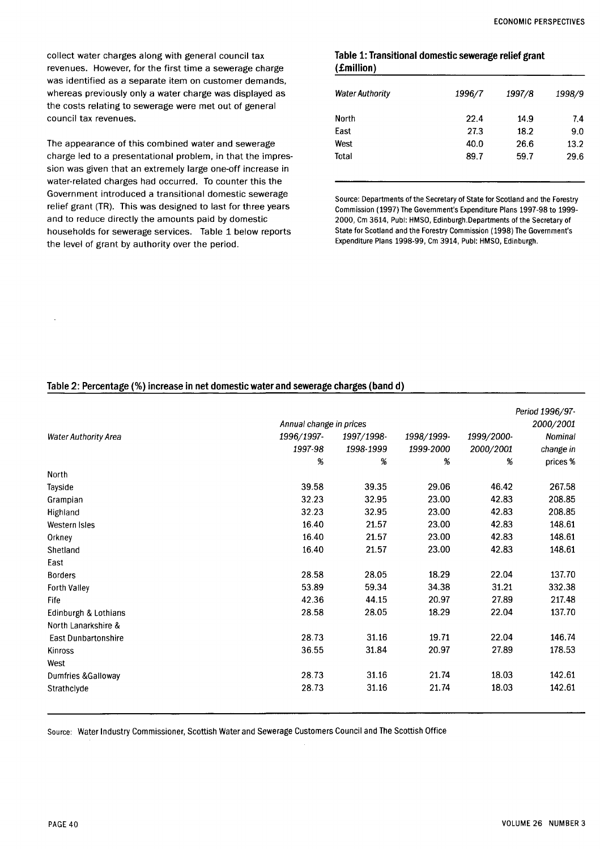collect water charges along with general council tax revenues. However, for the first time a sewerage charge was identified as a separate item on customer demands, whereas previously only a water charge was displayed as the costs relating to sewerage were met out of general council tax revenues.

The appearance of this combined water and sewerage charge led to a presentational problem, in that the impression was given that an extremely large one-off increase in water-related charges had occurred. To counter this the Government introduced a transitional domestic sewerage relief grant (TR). This was designed to last for three years and to reduce directly the amounts paid by domestic households for sewerage services. Table 1 below reports the level of grant by authority over the period.

## **Table 1: Transitional domestic sewerage relief grant (£million)**

| <b>Water Authority</b> | 1996/7 | 1997/8 | 1998/9 |
|------------------------|--------|--------|--------|
| North                  | 22.4   | 14.9   | 7.4    |
| East                   | 27.3   | 18.2   | 9.0    |
| West                   | 40.0   | 26.6   | 13.2   |
| Total                  | 89.7   | 59.7   | 29.6   |
|                        |        |        |        |

Source: Departments of the Secretary of State for Scotland and the Forestry Commission (1997) The Government's Expenditure Plans 1997-98 to 1999- 2000, Cm 3614, Publ: HMSO, Edinburgh.Departments of the Secretary of State for Scotland and the Forestry Commission (1998) The Government's Expenditure Plans 1998-99, Cm 3914, Publ: HMSO, Edinburgh.

# **Table 2: Percentage (%) increase in net domestic water and sewerage charges (band d)**

|                             | Annual change in prices  |           |                         |            | Period 1996/97-<br>2000/2001 |
|-----------------------------|--------------------------|-----------|-------------------------|------------|------------------------------|
| <b>Water Authority Area</b> | 1996/1997-<br>1997/1998- |           |                         | 1999/2000- | Nominal                      |
|                             | 1997-98                  | 1998-1999 | 1998/1999-<br>1999-2000 | 2000/2001  | change in                    |
|                             | %                        | %         | %                       | %          | prices%                      |
| North                       |                          |           |                         |            |                              |
| Tayside                     | 39.58                    | 39.35     | 29.06                   | 46.42      | 267.58                       |
| Grampian                    | 32.23                    | 32.95     | 23.00                   | 42.83      | 208.85                       |
| Highland                    | 32.23                    | 32.95     | 23.00                   | 42.83      | 208.85                       |
| Western Isles               | 16.40                    | 21.57     | 23.00                   | 42.83      | 148.61                       |
| Orkney                      | 16.40                    | 21.57     | 23.00                   | 42.83      | 148.61                       |
| Shetland                    | 16.40                    | 21.57     | 23.00                   | 42.83      | 148.61                       |
| East                        |                          |           |                         |            |                              |
| <b>Borders</b>              | 28.58                    | 28.05     | 18.29                   | 22.04      | 137.70                       |
| Forth Valley                | 53.89                    | 59.34     | 34.38                   | 31.21      | 332.38                       |
| Fife                        | 42.36                    | 44.15     | 20.97                   | 27.89      | 217.48                       |
| Edinburgh & Lothians        | 28.58                    | 28.05     | 18.29                   | 22.04      | 137.70                       |
| North Lanarkshire &         |                          |           |                         |            |                              |
| <b>East Dunbartonshire</b>  | 28.73                    | 31.16     | 19.71                   | 22.04      | 146.74                       |
| Kinross                     | 36.55                    | 31.84     | 20.97                   | 27.89      | 178.53                       |
| West                        |                          |           |                         |            |                              |
| Dumfries & Galloway         | 28.73                    | 31.16     | 21.74                   | 18.03      | 142.61                       |
| Strathclyde                 | 28.73                    | 31.16     | 21.74                   | 18.03      | 142.61                       |

Source: Water Industry Commissioner, Scottish Water and Sewerage Customers Council and The Scottish Office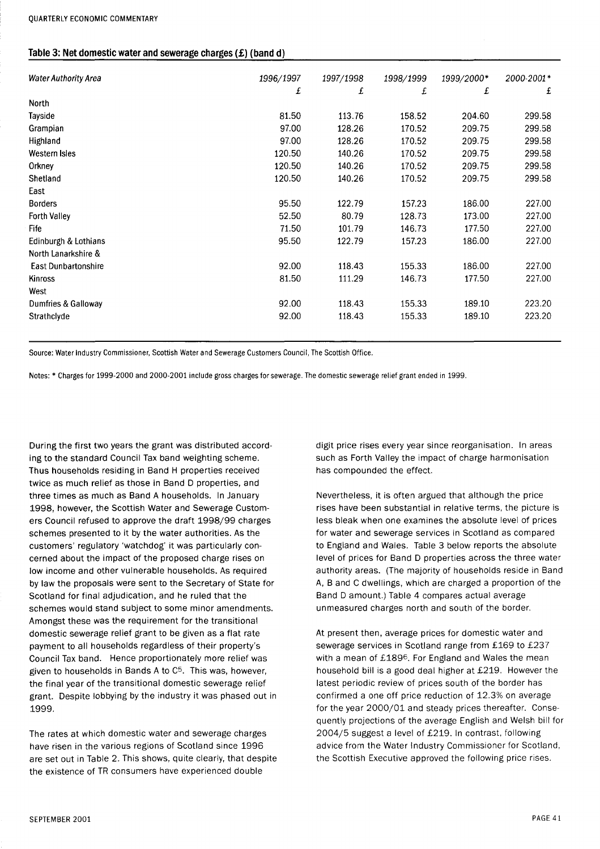#### Table 3: Net domestic water and sewerage charges (£) (band d)

| <b>Water Authority Area</b> | 1996/1997 | 1997/1998 | 1998/1999 | 1999/2000* | 2000-2001* |
|-----------------------------|-----------|-----------|-----------|------------|------------|
|                             | £         | £         | £         | £          | £          |
| North                       |           |           |           |            |            |
| Tayside                     | 81.50     | 113.76    | 158.52    | 204.60     | 299.58     |
| Grampian                    | 97.00     | 128.26    | 170.52    | 209.75     | 299.58     |
| Highland                    | 97.00     | 128.26    | 170.52    | 209.75     | 299.58     |
| Western Isles               | 120.50    | 140.26    | 170.52    | 209.75     | 299.58     |
| Orkney                      | 120.50    | 140.26    | 170.52    | 209.75     | 299.58     |
| Shetland                    | 120.50    | 140.26    | 170.52    | 209.75     | 299.58     |
| East                        |           |           |           |            |            |
| <b>Borders</b>              | 95.50     | 122.79    | 157.23    | 186.00     | 227.00     |
| <b>Forth Valley</b>         | 52.50     | 80.79     | 128.73    | 173.00     | 227.00     |
| Fife                        | 71.50     | 101.79    | 146.73    | 177.50     | 227.00     |
| Edinburgh & Lothians        | 95.50     | 122.79    | 157.23    | 186.00     | 227.00     |
| North Lanarkshire &         |           |           |           |            |            |
| <b>East Dunbartonshire</b>  | 92.00     | 118.43    | 155.33    | 186.00     | 227.00     |
| Kinross                     | 81.50     | 111.29    | 146.73    | 177.50     | 227.00     |
| West                        |           |           |           |            |            |
| Dumfries & Galloway         | 92.00     | 118.43    | 155.33    | 189.10     | 223.20     |
| Strathclyde                 | 92.00     | 118.43    | 155.33    | 189.10     | 223.20     |

Source: Water Industry Commissioner, Scottish Water and Sewerage Customers Council, The Scottish Office.

Notes: \* Charges for 1999-2000 and 2000-2001 include gross charges for sewerage. The domestic sewerage relief grant ended in 1999.

During the first two years the grant was distributed according to the standard Council Tax band weighting scheme. Thus households residing in Band H properties received twice as much relief as those in Band D properties, and three times as much as Band A households. In January 1998, however, the Scottish Water and Sewerage Customers Council refused to approve the draft 1998/99 charges schemes presented to it by the water authorities. As the customers' regulatory 'watchdog' it was particularly concerned about the impact of the proposed charge rises on low income and other vulnerable households. As required by law the proposals were sent to the Secretary of State for Scotland for final adjudication, and he ruled that the schemes would stand subject to some minor amendments. Amongst these was the requirement for the transitional domestic sewerage relief grant to be given as a flat rate payment to all households regardless of their property's Council Tax band. Hence proportionately more relief was given to households in Bands A to C<sup>5</sup> . This was, however, the final year of the transitional domestic sewerage relief grant. Despite lobbying by the industry it was phased out in 1999.

The rates at which domestic water and sewerage charges have risen in the various regions of Scotland since 1996 are set out in Table 2. This shows, quite clearly, that despite the existence of TR consumers have experienced double

digit price rises every year since reorganisation. In areas such as Forth Valley the impact of charge harmonisation has compounded the effect.

Nevertheless, it is often argued that although the price rises have been substantial in relative terms, the picture is less bleak when one examines the absolute level of prices for water and sewerage services in Scotland as compared to England and Wales. Table 3 below reports the absolute level of prices for Band D properties across the three water authority areas. (The majority of households reside in Band A, B and C dwellings, which are charged a proportion of the Band D amount.) Table 4 compares actual average unmeasured charges north and south of the border.

At present then, average prices for domestic water and sewerage services in Scotland range from £169 to £237 with a mean of £189<sup>6</sup>. For England and Wales the mean household bill is a good deal higher at £219. However the latest periodic review of prices south of the border has confirmed a one off price reduction of 12.3% on average for the year 2000/01 and steady prices thereafter. Consequently projections of the average English and Welsh bill for 2004/5 suggest a level of £219. In contrast, following advice from the Water Industry Commissioner for Scotland, the Scottish Executive approved the following price rises.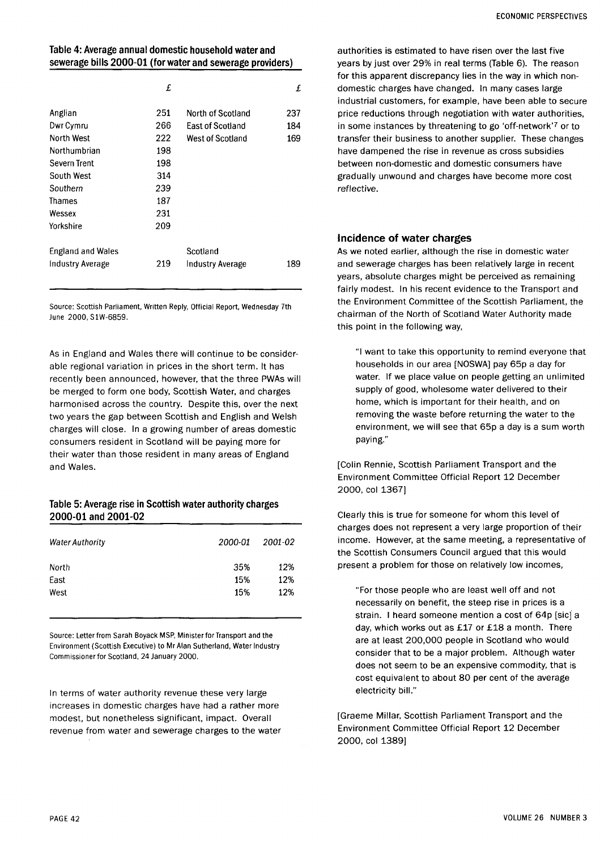# **Table 4: Average annual domestic household water and sewerage bills 2000-01 (for water and sewerage providers)**

|                          | £   |                         | £   |
|--------------------------|-----|-------------------------|-----|
| Anglian                  | 251 | North of Scotland       | 237 |
| Dwr Cymru                | 266 | <b>East of Scotland</b> | 184 |
| North West               | 222 | West of Scotland        | 169 |
| Northumbrian             | 198 |                         |     |
| Severn Trent             | 198 |                         |     |
| South West               | 314 |                         |     |
| Southern                 | 239 |                         |     |
| Thames                   | 187 |                         |     |
| Wessex                   | 231 |                         |     |
| Yorkshire                | 209 |                         |     |
| <b>England and Wales</b> |     | Scotland                |     |
| Industry Average         | 219 | <b>Industry Average</b> | 189 |
|                          |     |                         |     |

Source: Scottish Parliament, Written Reply, Official Report, Wednesday 7th June 2000, S1W-6859.

As in England and Wales there will continue to be considerable regional variation in prices in the short term. It has recently been announced, however, that the three PWAs will be merged to form one body, Scottish Water, and charges harmonised across the country. Despite this, over the next two years the gap between Scottish and English and Welsh charges will close. In a growing number of areas domestic consumers resident in Scotland will be paying more for their water than those resident in many areas of England and Wales.

# **Table 5: Average rise in Scottish water authority charges 2000-01 and 2001-02**

| <b>Water Authority</b> | 2000-01 | 2001-02 |
|------------------------|---------|---------|
| North                  | 35%     | 12%     |
| East                   | 15%     | 12%     |
| West                   | 15%     | 12%     |

Source: Letter from Sarah Boyack MSP, Minister for Transport and the Environment (Scottish Executive) to Mr Alan Sutherland, Water Industry Commissioner for Scotland, 24 January 2000.

In terms of water authority revenue these very large increases in domestic charges have had a rather more modest, but nonetheless significant, impact. Overall revenue from water and sewerage charges to the water

authorities is estimated to have risen over the last five years by just over 29% in real terms (Table 6). The reason for this apparent discrepancy lies in the way in which nondomestic charges have changed. In many cases large industrial customers, for example, have been able to secure price reductions through negotiation with water authorities, in some instances by threatening to go 'off-network'<sup>7</sup> or to transfer their business to another supplier. These changes have dampened the rise in revenue as cross subsidies between non-domestic and domestic consumers have gradually unwound and charges have become more cost reflective.

# Incidence of water charges

As we noted earlier, although the rise in domestic water and sewerage charges has been relatively large in recent years, absolute charges might be perceived as remaining fairly modest. In his recent evidence to the Transport and the Environment Committee of the Scottish Parliament, the chairman of the North of Scotland Water Authority made this point in the following way,

"I want to take this opportunity to remind everyone that households in our area [NOSWA] pay 65p a day for water. If we place value on people getting an unlimited supply of good, wholesome water delivered to their home, which is important for their health, and on removing the waste before returning the water to the environment, we will see that 65p a day is a sum worth paying."

[Colin Rennie, Scottish Parliament Transport and the Environment Committee Official Report 12 December 2000, col 1367]

Clearly this is true for someone for whom this level of charges does not represent a very large proportion of their income. However, at the same meeting, a representative of the Scottish Consumers Council argued that this would present a problem for those on relatively low incomes,

"For those people who are least well off and not necessarily on benefit, the steep rise in prices is a strain. I heard someone mention a cost of 64p [sic] a day, which works out as £17 or £18 a month. There are at least 200,000 people in Scotland who would consider that to be a major problem. Although water does not seem to be an expensive commodity, that is cost equivalent to about 80 per cent of the average electricity bill."

[Graeme Millar, Scottish Parliament Transport and the Environment Committee Official Report 12 December 2000, col 1389]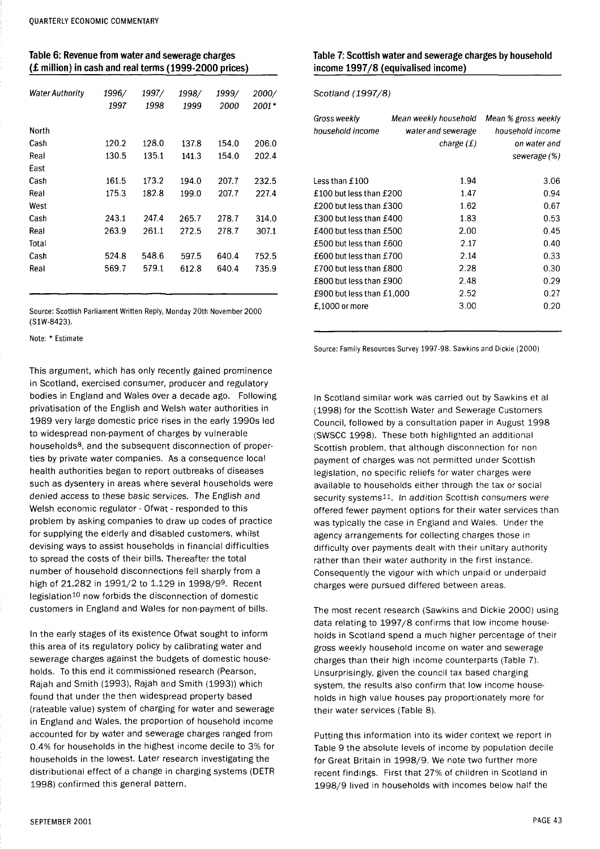## **Table 6: Revenue from water and sewerage charges (£ million) in cash and real terms (1999-2000 prices)**

| <b>Water Authority</b> | 1996/<br>1997 | 1997/<br>1998 | 1998/<br>1999 | 1999/<br>2000 | 2000/<br>2001* |
|------------------------|---------------|---------------|---------------|---------------|----------------|
| North                  |               |               |               |               |                |
| Cash                   | 120.2         | 128.0         | 137.8         | 154.0         | 206.0          |
| Real                   | 130.5         | 135.1         | 141.3         | 154.0         | 202.4          |
| East                   |               |               |               |               |                |
| Cash                   | 161.5         | 173.2         | 194.0         | 207.7         | 232.5          |
| Real                   | 175.3         | 182.8         | 199.0         | 207.7         | 227.4          |
| West                   |               |               |               |               |                |
| Cash                   | 243.1         | 247.4         | 265.7         | 278.7         | 314.0          |
| Real                   | 263.9         | 261.1         | 272.5         | 278.7         | 307.1          |
| Total                  |               |               |               |               |                |
| Cash                   | 524.8         | 548.6         | 597.5         | 640.4         | 752.5          |
| Real                   | 569.7         | 579.1         | 612.8         | 640.4         | 735.9          |
|                        |               |               |               |               |                |

Source: Scottish Parliament Written Reply, Monday 20th November 2000 (S1W-8423).

Note: \* Estimate

This argument, which has only recently gained prominence in Scotland, exercised consumer, producer and regulatory bodies in England and Wales over a decade ago. Following privatisation of the English and Welsh water authorities in 1989 very large domestic price rises in the early 1990s led to widespread non-payment of charges by vulnerable households<sup>8</sup>, and the subsequent disconnection of properties by private water companies. As a consequence local health authorities began to report outbreaks of diseases such as dysentery in areas where several households were denied access to these basic services. The English and Welsh economic regulator - Ofwat - responded to this problem by asking companies to draw up codes of practice for supplying the elderly and disabled customers, whilst devising ways to assist households in financial difficulties to spread the costs of their bills. Thereafter the total number of household disconnections fell sharply from a high of 21,282 in 1991/2 to 1,129 in 1998/99. Recent legislation<sup>10</sup> now forbids the disconnection of domestic customers in England and Wales for non-payment of bills.

In the early stages of its existence Ofwat sought to inform this area of its regulatory policy by calibrating water and sewerage charges against the budgets of domestic households. To this end it commissioned research (Pearson, Rajah and Smith (1993), Rajah and Smith (1993)) which found that under the then widespread property based (rateable value) system of charging for water and sewerage in England and Wales, the proportion of household income accounted for by water and sewerage charges ranged from 0.4% for households in the highest income decile to 3% for households in the lowest. Later research investigating the distributional effect of a change in charging systems (DETR 1998) confirmed this general pattern.

#### **Table 7: Scottish water and sewerage charges by household income 1997/8 (equivalised income)**

Scotland (1997/8)

| Gross weekly<br>household income | Mean weekly household<br>water and sewerage<br>charge (£) | Mean % gross weekly<br>household income<br>on water and<br>sewerage (%) |
|----------------------------------|-----------------------------------------------------------|-------------------------------------------------------------------------|
| Less than £100                   | 1.94                                                      | 3.06                                                                    |
| £100 but less than £200          | 1.47                                                      | 0.94                                                                    |
| £200 but less than £300          | 1.62                                                      | 0.67                                                                    |
| £300 but less than £400          | 1.83                                                      | 0.53                                                                    |
| £400 but less than £500          | 2.00                                                      | 0.45                                                                    |
| £500 but less than £600          | 2.17                                                      | 0.40                                                                    |
| £600 but less than £700          | 2.14                                                      | 0.33                                                                    |
| £700 but less than £800          | 2.28                                                      | 0.30                                                                    |
| £800 but less than £900          | 2.48                                                      | 0.29                                                                    |
| £900 but less than $£1,000$      | 2.52                                                      | 0.27                                                                    |
| £.1000 or more                   | 3.00                                                      | 0.20                                                                    |

Source: Family Resources Survey 1997-98. Sawkins and Dickie (2000)

In Scotland similar work was carried out by Sawkins et al (1998) for the Scottish Water and Sewerage Customers Council, followed by a consultation paper in August 1998 (SWSCC 1998). These both highlighted an additional Scottish problem, that although disconnection for non payment of charges was not permitted under Scottish legislation, no specific reliefs for water charges were available to households either through the tax or social security systems<sup>11</sup>. In addition Scottish consumers were offered fewer payment options for their water services than was typically the case in England and Wales. Under the agency arrangements for collecting charges those in difficulty over payments dealt with their unitary authority rather than their water authority in the first instance. Consequently the vigour with which unpaid or underpaid charges were pursued differed between areas.

The most recent research (Sawkins and Dickie 2000) using data relating to 1997/8 confirms that low income households in Scotland spend a much higher percentage of their gross weekly household income on water and sewerage charges than their high income counterparts (Table 7). Unsurprisingly, given the council tax based charging system, the results also confirm that low income households in high value houses pay proportionately more for their water services (Table 8).

Putting this information into its wider context we report in Table 9 the absolute levels of income by population decile for Great Britain in 1998/9. We note two further more recent findings. First that 27% of children in Scotland in 1998/9 lived in households with incomes below half the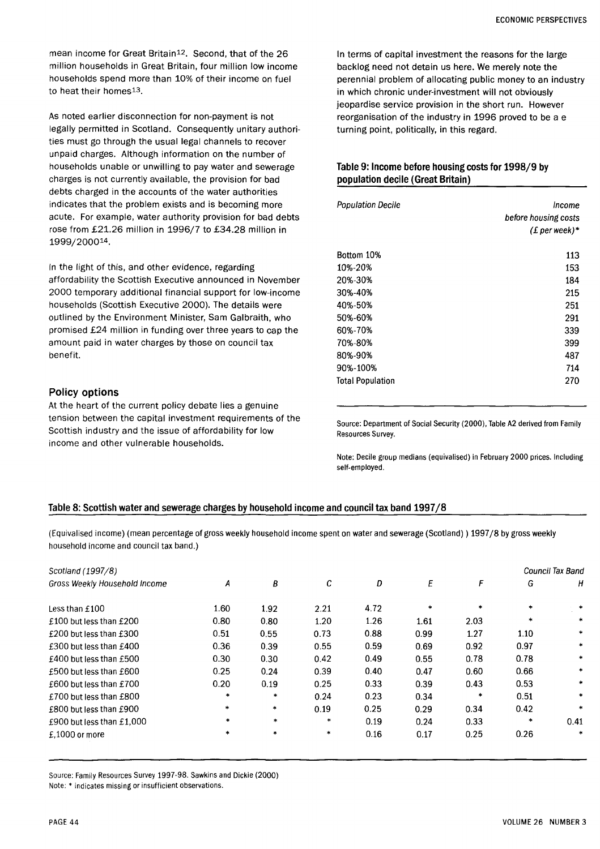mean income for Great Britain<sup>12</sup>. Second, that of the 26 million households in Great Britain, four million low income households spend more than 10% of their income on fuel to heat their homes<sup>13</sup>.

As noted earlier disconnection for non-payment is not legally permitted in Scotland. Consequently unitary authorities must go through the usual legal channels to recover unpaid charges. Although information on the number of households unable or unwilling to pay water and sewerage charges is not currently available, the provision for bad debts charged in the accounts of the water authorities indicates that the problem exists and is becoming more acute. For example, water authority provision for bad debts rose from £21.26 million in 1996/7 to £34.28 million in 1999/200014.

In the light of this, and other evidence, regarding affordability the Scottish Executive announced in November 2000 temporary additional financial support for low-income households (Scottish Executive 2000). The details were outlined by the Environment Minister, Sam Galbraith, who promised £24 million in funding over three years to cap the amount paid in water charges by those on council tax benefit.

#### Policy options

At the heart of the current policy debate lies a genuine tension between the capital investment requirements of the Scottish industry and the issue of affordability for low income and other vulnerable households.

In terms of capital investment the reasons for the large backlog need not detain us here. We merely note the perennial problem of allocating public money to an industry in which chronic underinvestment will not obviously jeopardise service provision in the short run. However reorganisation of the industry in 1996 proved to be a e turning point, politically, in this regard.

#### **Table 9: Income before housing costs for 1998/9 by population decile (Great Britain)**

| <b>Population Decile</b> | Income<br>before housing costs<br>$(E$ per week)* |
|--------------------------|---------------------------------------------------|
| Bottom 10%               | 113                                               |
| 10%-20%                  | 153                                               |
| 20%-30%                  | 184                                               |
| 30%-40%                  | 215                                               |
| 40%-50%                  | 251                                               |
| 50%-60%                  | 291                                               |
| 60%-70%                  | 339                                               |
| 70%-80%                  | 399                                               |
| 80%-90%                  | 487                                               |
| 90%-100%                 | 714                                               |
| <b>Total Population</b>  | 270                                               |

Source: Department of Social Security (2000), Table A2 derived from Family Resources Survey.

Note: Decile group medians (equivalised) in February 2000 prices. Including self-employed.

#### Table 8: Scottish water and sewerage charges by household income and council tax band 1997/8

(Equivalised income) (mean percentage of gross weekly household income spent on water and sewerage (Scotland)) 1997/8 by gross weekly household income and council tax band.)

| Scotland (1997/8)             |        |           |        |      |        |         |        | Council Tax Band |
|-------------------------------|--------|-----------|--------|------|--------|---------|--------|------------------|
| Gross Weekly Household Income | А      | B         | C      | D    | E      | F       | G      | н                |
| Less than £100                | 1.60   | 1.92      | 2.21   | 4.72 | $\ast$ | $\star$ |        | $\ast$           |
| £100 but less than £200       | 0.80   | 0.80      | 1.20   | 1.26 | 1.61   | 2.03    | $\ast$ | $\ast$           |
| £200 but less than £300       | 0.51   | 0.55      | 0.73   | 0.88 | 0.99   | 1.27    | 1.10   | $\ast$           |
| £300 but less than £400       | 0.36   | 0.39      | 0.55   | 0.59 | 0.69   | 0.92    | 0.97   |                  |
| £400 but less than £500       | 0.30   | 0.30      | 0.42   | 0.49 | 0.55   | 0.78    | 0.78   | $\ast$           |
| £500 but less than £600       | 0.25   | 0.24      | 0.39   | 0.40 | 0.47   | 0.60    | 0.66   | *                |
| £600 but less than £700       | 0.20   | 0.19      | 0.25   | 0.33 | 0.39   | 0.43    | 0.53   | $\star$          |
| £700 but less than £800       | $\ast$ | $\approx$ | 0.24   | 0.23 | 0.34   | *       | 0.51   | $\ast$           |
| £800 but less than £900       | $\ast$ | $\ast$    | 0.19   | 0.25 | 0.29   | 0.34    | 0.42   | $\ast$           |
| £900 but less than £1,000     | $\ast$ | $\ast$    | $\ast$ | 0.19 | 0.24   | 0.33    | *      | 0.41             |
| $£.1000$ or more              | $\ast$ | $\ast$    | $\ast$ | 0.16 | 0.17   | 0.25    | 0.26   | $\ast$           |

Source: Family Resources Survey 1997-98. Sawkins and Dickie (2000) Note: \* indicates missing or insufficient observations.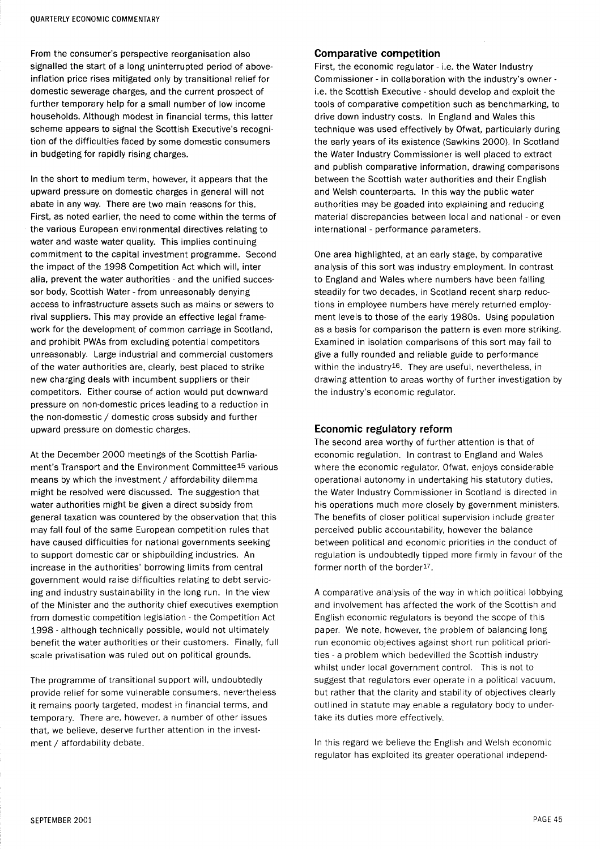From the consumer's perspective reorganisation also signalled the start of a long uninterrupted period of aboveinflation price rises mitigated only by transitional relief for domestic sewerage charges, and the current prospect of further temporary help for a small number of low income households. Although modest in financial terms, this latter scheme appears to signal the Scottish Executive's recognition of the difficulties faced by some domestic consumers in budgeting for rapidly rising charges.

In the short to medium term, however, it appears that the upward pressure on domestic charges in general will not abate in any way. There are two main reasons for this. First, as noted earlier, the need to come within the terms of the various European environmental directives relating to water and waste water quality. This implies continuing commitment to the capital investment programme. Second the impact of the 1998 Competition Act which will, inter alia, prevent the water authorities - and the unified successor body, Scottish Water-from unreasonably denying access to infrastructure assets such as mains or sewers to rival suppliers. This may provide an effective legal framework for the development of common carriage in Scotland, and prohibit PWAs from excluding potential competitors unreasonably. Large industrial and commercial customers of the water authorities are, clearly, best placed to strike new charging deals with incumbent suppliers or their competitors. Either course of action would put downward pressure on non-domestic prices leading to a reduction in the non-domestic / domestic cross subsidy and further upward pressure on domestic charges.

At the December 2000 meetings of the Scottish Parliament's Transport and the Environment Committee<sup>15</sup> various means by which the investment / affordability dilemma might be resolved were discussed. The suggestion that water authorities might be given a direct subsidy from general taxation was countered by the observation that this may fall foul of the same European competition rules that have caused difficulties for national governments seeking to support domestic car or shipbuilding industries. An increase in the authorities' borrowing limits from central government would raise difficulties relating to debt servicing and industry sustainability in the long run. In the view of the Minister and the authority chief executives exemption from domestic competition legislation - the Competition Act 1998 - although technically possible, would not ultimately benefit the water authorities or their customers. Finally, full scale privatisation was ruled out on political grounds.

The programme of transitional support will, undoubtedly provide relief for some vulnerable consumers, nevertheless it remains poorly targeted, modest in financial terms, and temporary. There are, however, a number of other issues that, we believe, deserve further attention in the investment / affordability debate.

#### Comparative competition

First, the economic regulator - i.e. the Water Industry Commissioner - in collaboration with the industry's owner i.e. the Scottish Executive - should develop and exploit the tools of comparative competition such as benchmarking, to drive down industry costs. In England and Wales this technique was used effectively by Ofwat, particularly during the early years of its existence (Sawkins 2000). In Scotland the Water Industry Commissioner is well placed to extract and publish comparative information, drawing comparisons between the Scottish water authorities and their English and Welsh counterparts. In this way the public water authorities may be goaded into explaining and reducing material discrepancies between local and national - or even international - performance parameters.

One area highlighted, at an early stage, by comparative analysis of this sort was industry employment. In contrast to England and Wales where numbers have been falling steadily for two decades, in Scotland recent sharp reductions in employee numbers have merely returned employment levels to those of the early 1980s. Using population as a basis for comparison the pattern is even more striking. Examined in isolation comparisons of this sort may fail to give a fully rounded and reliable guide to performance within the industry<sup>16</sup>. They are useful, nevertheless, in drawing attention to areas worthy of further investigation by the industry's economic regulator.

## Economic regulatory reform

The second area worthy of further attention is that of economic regulation. In contrast to England and Wales where the economic regulator, Ofwat, enjoys considerable operational autonomy in undertaking his statutory duties. the Water Industry Commissioner in Scotland is directed in his operations much more closely by government ministers. The benefits of closer political supervision include greater perceived public accountability, however the balance between political and economic priorities in the conduct of regulation is undoubtedly tipped more firmly in favour of the former north of the border<sup>17</sup>.

A comparative analysis of the way in which political lobbying and involvement has affected the work of the Scottish and English economic regulators is beyond the scope of this paper. We note, however, the problem of balancing long run economic objectives against short run political priorities - a problem which bedevilled the Scottish industry whilst under local government control. This is not to suggest that regulators ever operate in a political vacuum, but rather that the clarity and stability of objectives clearly outlined in statute may enable a regulatory body to undertake its duties more effectively.

In this regard we believe the English and Welsh economic regulator has exploited its greater operational independ-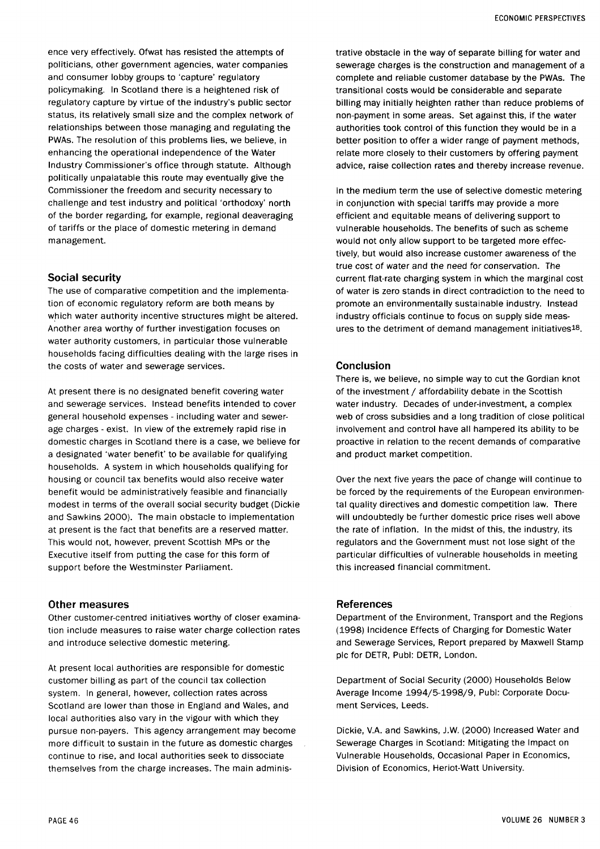ence very effectively. Ofwat has resisted the attempts of politicians, other government agencies, water companies and consumer lobby groups to 'capture' regulatory policymaking. In Scotland there is a heightened risk of regulatory capture by virtue of the industry's public sector status, its relatively small size and the complex network of relationships between those managing and regulating the PWAs. The resolution of this problems lies, we believe, in enhancing the operational independence of the Water Industry Commissioner's office through statute. Although politically unpalatable this route may eventually give the Commissioner the freedom and security necessary to challenge and test industry and political 'orthodoxy' north of the border regarding, for example, regional deaveraging of tariffs or the place of domestic metering in demand management.

## Social security

The use of comparative competition and the implementation of economic regulatory reform are both means by which water authority incentive structures might be altered. Another area worthy of further investigation focuses on water authority customers, in particular those vulnerable households facing difficulties dealing with the large rises in the costs of water and sewerage services.

At present there is no designated benefit covering water and sewerage services. Instead benefits intended to cover general household expenses - including water and sewerage charges - exist. In view of the extremely rapid rise in domestic charges in Scotland there is a case, we believe for a designated 'water benefit' to be available for qualifying households. A system in which households qualifying for housing or council tax benefits would also receive water benefit would be administratively feasible and financially modest in terms of the overall social security budget (Dickie and Sawkins 2000). The main obstacle to implementation at present is the fact that benefits are a reserved matter. This would not, however, prevent Scottish MPs or the Executive itself from putting the case for this form of support before the Westminster Parliament.

#### Other measures

Other customer-centred initiatives worthy of closer examination include measures to raise water charge collection rates and introduce selective domestic metering.

At present local authorities are responsible for domestic customer billing as part of the council tax collection system. In general, however, collection rates across Scotland are lower than those in England and Wales, and local authorities also vary in the vigour with which they pursue non-payers. This agency arrangement may become more difficult to sustain in the future as domestic charges continue to rise, and local authorities seek to dissociate themselves from the charge increases. The main administrative obstacle in the way of separate billing for water and sewerage charges is the construction and management of a complete and reliable customer database by the PWAs. The transitional costs would be considerable and separate billing may initially heighten rather than reduce problems of non-payment in some areas. Set against this, if the water authorities took control of this function they would be in a better position to offer a wider range of payment methods, relate more closely to their customers by offering payment advice, raise collection rates and thereby increase revenue.

In the medium term the use of selective domestic metering in conjunction with special tariffs may provide a more efficient and equitable means of delivering support to vulnerable households. The benefits of such as scheme would not only allow support to be targeted more effectively, but would also increase customer awareness of the true cost of water and the need for conservation. The current flat-rate charging system in which the marginal cost of water is zero stands in direct contradiction to the need to promote an environmentally sustainable industry. Instead industry officials continue to focus on supply side measures to the detriment of demand management initiatives<sup>18</sup>.

#### Conclusion

There is, we believe, no simple way to cut the Gordian knot of the investment / affordability debate in the Scottish water industry. Decades of under-investment, a complex web of cross subsidies and a long tradition of close political involvement and control have all hampered its ability to be proactive in relation to the recent demands of comparative and product market competition.

Over the next five years the pace of change will continue to be forced by the requirements of the European environmental quality directives and domestic competition law. There will undoubtedly be further domestic price rises well above the rate of inflation. In the midst of this, the industry, its regulators and the Government must not lose sight of the particular difficulties of vulnerable households in meeting this increased financial commitment.

#### References

Department of the Environment, Transport and the Regions (1998) Incidence Effects of Charging for Domestic Water and Sewerage Services, Report prepared by Maxwell Stamp pic for DETR, Publ: DETR, London.

Department of Social Security (2000) Households Below Average Income 1994/5-1998/9, Publ: Corporate Document Services, Leeds.

Dickie, V.A. and Sawkins, J.W. (2000) Increased Water and Sewerage Charges in Scotland: Mitigating the Impact on Vulnerable Households, Occasional Paper in Economics, Division of Economics, Heriot-Watt University.